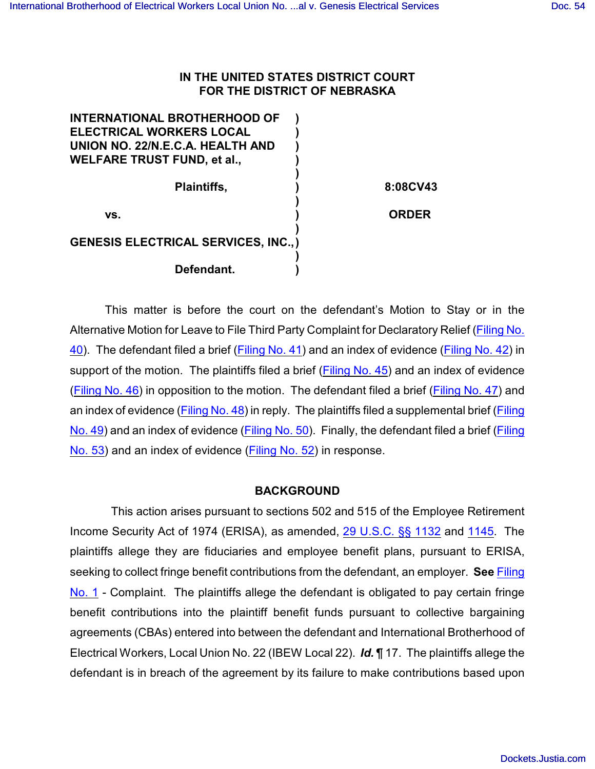## **IN THE UNITED STATES DISTRICT COURT FOR THE DISTRICT OF NEBRASKA**

| <b>INTERNATIONAL BROTHERHOOD OF</b>         |              |
|---------------------------------------------|--------------|
| <b>ELECTRICAL WORKERS LOCAL</b>             |              |
| UNION NO. 22/N.E.C.A. HEALTH AND            |              |
| <b>WELFARE TRUST FUND, et al.,</b>          |              |
|                                             |              |
| <b>Plaintiffs,</b>                          | 8:08CV43     |
|                                             |              |
| VS.                                         | <b>ORDER</b> |
|                                             |              |
| <b>GENESIS ELECTRICAL SERVICES, INC., )</b> |              |
|                                             |              |
| Defendant.                                  |              |
|                                             |              |

This matter is before the court on the defendant's Motion to Stay or in the Alternative Motion for Leave to File Third Party Complaint for Declaratory Relief [\(Filing No.](https://ecf.ned.uscourts.gov/doc1/11301572169) [40](https://ecf.ned.uscourts.gov/doc1/11301572169)). The defendant filed a brief [\(Filing No. 41](https://ecf.ned.uscourts.gov/doc1/11301572172)) and an index of evidence [\(Filing No. 42](https://ecf.ned.uscourts.gov/doc1/11301572269)) in support of the motion. The plaintiffs filed a brief (Filing [No. 45](https://ecf.ned.uscourts.gov/doc1/11301583468)) and an index of evidence [\(Filing No. 46](https://ecf.ned.uscourts.gov/doc1/11301583477)) in opposition to the motion. The defendant filed a brief [\(Filing No. 47](https://ecf.ned.uscourts.gov/doc1/11301586851)) and an index of evidence [\(Filing No. 48](https://ecf.ned.uscourts.gov/doc1/11301586875)) in reply. The plaintiffs filed a supplemental brief [\(Filing](https://ecf.ned.uscourts.gov/doc1/11301603992) [No. 49](https://ecf.ned.uscourts.gov/doc1/11301603992)) and an index of evidence [\(Filing No. 50](https://ecf.ned.uscourts.gov/doc1/11301604017)). Finally, the defendant filed a brief [\(Filing](https://ecf.ned.uscourts.gov/doc1/11301612092) [No. 53](https://ecf.ned.uscourts.gov/doc1/11301612092)) and an index of evidence [\(Filing No. 52](https://ecf.ned.uscourts.gov/doc1/11301612070)) in response.

## **BACKGROUND**

 This action arises pursuant to sections 502 and 515 of the Employee Retirement Income Security Act of 1974 (ERISA), as amended, [29 U.S.C. §§ 1132](http://www.westlaw.com/find/default.wl?rs=CLWP3.0&vr=2.0&cite=29+USCA+s+1132) and 1145. The plaintiffs allege they are fiduciaries and employee benefit plans, pursuant to ERISA, seeking to collect fringe benefit contributions from the defendant, an employer. **See** [Filing](https://ecf.ned.uscourts.gov/doc1/11301365321) [No. 1](https://ecf.ned.uscourts.gov/doc1/11301365321) - Complaint. The plaintiffs allege the defendant is obligated to pay certain fringe benefit contributions into the plaintiff benefit funds pursuant to collective bargaining agreements (CBAs) entered into between the defendant and International Brotherhood of Electrical Workers, Local Union No. 22 (IBEW Local 22). *Id.* ¶ 17. The plaintiffs allege the defendant is in breach of the agreement by its failure to make contributions based upon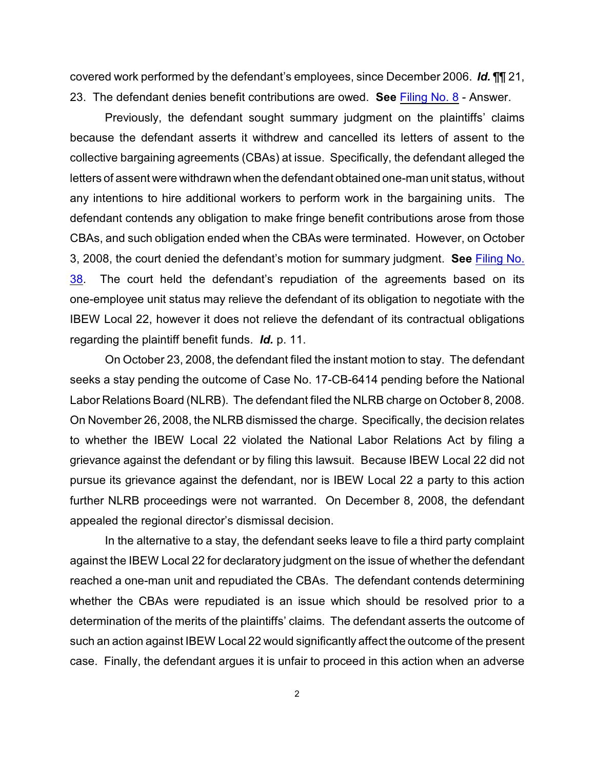covered work performed by the defendant's employees, since December 2006. *Id.* ¶¶ 21, 23. The defendant denies benefit contributions are owed. **See** [Filing No. 8](https://ecf.ned.uscourts.gov/doc1/11301379158) - Answer.

Previously, the defendant sought summary judgment on the plaintiffs' claims because the defendant asserts it withdrew and cancelled its letters of assent to the collective bargaining agreements (CBAs) at issue. Specifically, the defendant alleged the letters of assent were withdrawn when the defendant obtained one-man unit status, without any intentions to hire additional workers to perform work in the bargaining units. The defendant contends any obligation to make fringe benefit contributions arose from those CBAs, and such obligation ended when the CBAs were terminated. However, on October 3, 2008, the court denied the defendant's motion for summary judgment. **See** [Filing No.](https://ecf.ned.uscourts.gov/doc1/11301555532) [38](https://ecf.ned.uscourts.gov/doc1/11301555532). The court held the defendant's repudiation of the agreements based on its one-employee unit status may relieve the defendant of its obligation to negotiate with the IBEW Local 22, however it does not relieve the defendant of its contractual obligations regarding the plaintiff benefit funds. *Id.* p. 11.

On October 23, 2008, the defendant filed the instant motion to stay. The defendant seeks a stay pending the outcome of Case No. 17-CB-6414 pending before the National Labor Relations Board (NLRB). The defendant filed the NLRB charge on October 8, 2008. On November 26, 2008, the NLRB dismissed the charge. Specifically, the decision relates to whether the IBEW Local 22 violated the National Labor Relations Act by filing a grievance against the defendant or by filing this lawsuit. Because IBEW Local 22 did not pursue its grievance against the defendant, nor is IBEW Local 22 a party to this action further NLRB proceedings were not warranted. On December 8, 2008, the defendant appealed the regional director's dismissal decision.

In the alternative to a stay, the defendant seeks leave to file a third party complaint against the IBEW Local 22 for declaratory judgment on the issue of whether the defendant reached a one-man unit and repudiated the CBAs. The defendant contends determining whether the CBAs were repudiated is an issue which should be resolved prior to a determination of the merits of the plaintiffs' claims. The defendant asserts the outcome of such an action against IBEW Local 22 would significantly affect the outcome of the present case. Finally, the defendant argues it is unfair to proceed in this action when an adverse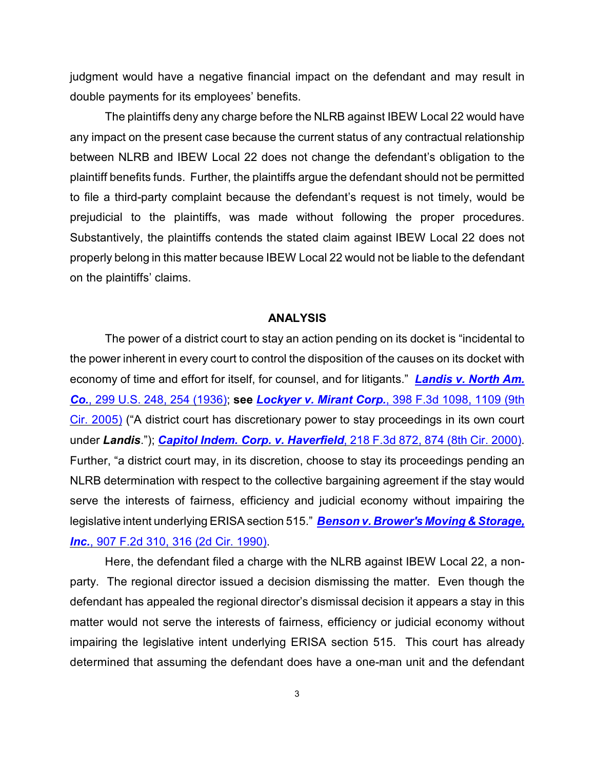judgment would have a negative financial impact on the defendant and may result in double payments for its employees' benefits.

The plaintiffs deny any charge before the NLRB against IBEW Local 22 would have any impact on the present case because the current status of any contractual relationship between NLRB and IBEW Local 22 does not change the defendant's obligation to the plaintiff benefits funds. Further, the plaintiffs argue the defendant should not be permitted to file a third-party complaint because the defendant's request is not timely, would be prejudicial to the plaintiffs, was made without following the proper procedures. Substantively, the plaintiffs contends the stated claim against IBEW Local 22 does not properly belong in this matter because IBEW Local 22 would not be liable to the defendant on the plaintiffs' claims.

## **ANALYSIS**

The power of a district court to stay an action pending on its docket is "incidental to the power inherent in every court to control the disposition of the causes on its docket with economy of time and effort for itself, for counsel, and for litigants." *[Landis v. North Am.](http://www.westlaw.com/find/default.wl?rs=CLWP3.0&vr=2.0&cite=299+U.S.+248) Co.*[, 299 U.S. 248, 254 \(1936\)](http://www.westlaw.com/find/default.wl?rs=CLWP3.0&vr=2.0&cite=299+U.S.+248); **see** *Lockyer v. Mirant Corp.*[, 398 F.3d 1098, 1109 \(9th](http://www.westlaw.com/find/default.wl?rs=CLWP3.0&vr=2.0&cite=398+F.3d+1098) [Cir. 2005\)](http://www.westlaw.com/find/default.wl?rs=CLWP3.0&vr=2.0&cite=398+F.3d+1098) ("A district court has discretionary power to stay proceedings in its own court under *Landis*."); *[Capitol Indem. Corp. v. Haverfield](http://www.westlaw.com/find/default.wl?rs=CLWP3.0&vr=2.0&cite=218+F.3d+872)*, 218 F.3d 872, 874 (8th Cir. 2000). Further, "a district court may, in its discretion, choose to stay its proceedings pending an NLRB determination with respect to the collective bargaining agreement if the stay would serve the interests of fairness, efficiency and judicial economy without impairing the legislative intent underlying ERISA section 515." *[Benson v. Brower's Moving & Storage,](http://www.westlaw.com/find/default.wl?rs=CLWP3.0&vr=2.0&cite=907+F.2d+310) Inc.*[, 907 F.2d 310, 316 \(2d Cir. 1990\)](http://www.westlaw.com/find/default.wl?rs=CLWP3.0&vr=2.0&cite=907+F.2d+310).

Here, the defendant filed a charge with the NLRB against IBEW Local 22, a nonparty. The regional director issued a decision dismissing the matter. Even though the defendant has appealed the regional director's dismissal decision it appears a stay in this matter would not serve the interests of fairness, efficiency or judicial economy without impairing the legislative intent underlying ERISA section 515. This court has already determined that assuming the defendant does have a one-man unit and the defendant